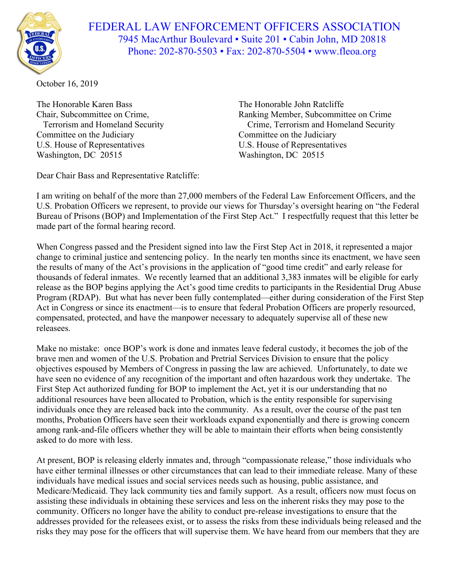

FEDERAL LAW ENFORCEMENT OFFICERS ASSOCIATION 7945 MacArthur Boulevard ▪ Suite 201 ▪ Cabin John, MD 20818 Phone: 202-870-5503 • Fax: 202-870-5504 • www.fleoa.org

October 16, 2019

The Honorable Karen Bass The Honorable John Ratcliffe Committee on the Judiciary Committee on the Judiciary U.S. House of Representatives U.S. House of Representatives Washington, DC 20515 Washington, DC 20515

Chair, Subcommittee on Crime, Ranking Member, Subcommittee on Crime Terrorism and Homeland Security Crime, Terrorism and Homeland Security

Dear Chair Bass and Representative Ratcliffe:

I am writing on behalf of the more than 27,000 members of the Federal Law Enforcement Officers, and the U.S. Probation Officers we represent, to provide our views for Thursday's oversight hearing on "the Federal Bureau of Prisons (BOP) and Implementation of the First Step Act." I respectfully request that this letter be made part of the formal hearing record.

When Congress passed and the President signed into law the First Step Act in 2018, it represented a major change to criminal justice and sentencing policy. In the nearly ten months since its enactment, we have seen the results of many of the Act's provisions in the application of "good time credit" and early release for thousands of federal inmates. We recently learned that an additional 3,383 inmates will be eligible for early release as the BOP begins applying the Act's good time credits to participants in the Residential Drug Abuse Program (RDAP). But what has never been fully contemplated—either during consideration of the First Step Act in Congress or since its enactment—is to ensure that federal Probation Officers are properly resourced, compensated, protected, and have the manpower necessary to adequately supervise all of these new releasees.

Make no mistake: once BOP's work is done and inmates leave federal custody, it becomes the job of the brave men and women of the U.S. Probation and Pretrial Services Division to ensure that the policy objectives espoused by Members of Congress in passing the law are achieved. Unfortunately, to date we have seen no evidence of any recognition of the important and often hazardous work they undertake. The First Step Act authorized funding for BOP to implement the Act, yet it is our understanding that no additional resources have been allocated to Probation, which is the entity responsible for supervising individuals once they are released back into the community. As a result, over the course of the past ten months, Probation Officers have seen their workloads expand exponentially and there is growing concern among rank-and-file officers whether they will be able to maintain their efforts when being consistently asked to do more with less.

At present, BOP is releasing elderly inmates and, through "compassionate release," those individuals who have either terminal illnesses or other circumstances that can lead to their immediate release. Many of these individuals have medical issues and social services needs such as housing, public assistance, and Medicare/Medicaid. They lack community ties and family support. As a result, officers now must focus on assisting these individuals in obtaining these services and less on the inherent risks they may pose to the community. Officers no longer have the ability to conduct pre-release investigations to ensure that the addresses provided for the releasees exist, or to assess the risks from these individuals being released and the risks they may pose for the officers that will supervise them. We have heard from our members that they are